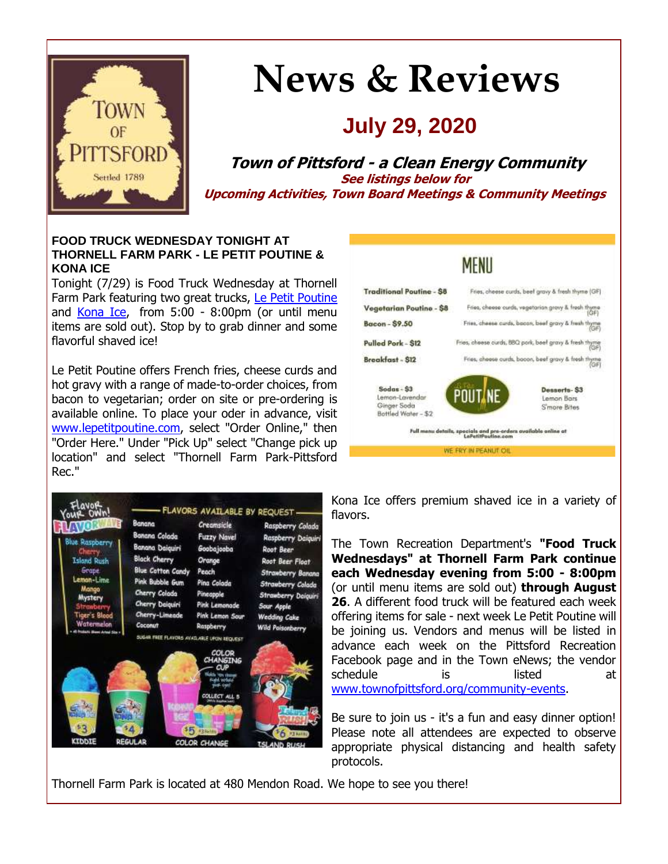

# **News & Reviews**

# **July 29, 2020**

**Town of Pittsford - a Clean Energy Community See listings below for Upcoming Activities, Town Board Meetings & Community Meetings**

#### **FOOD TRUCK WEDNESDAY TONIGHT AT THORNELL FARM PARK - LE PETIT POUTINE & KONA ICE**

Tonight (7/29) is Food Truck Wednesday at Thornell Farm Park featuring two great trucks, [Le Petit Poutine](http://r20.rs6.net/tn.jsp?f=001jusKQ5dHf2UEfWJYxtTcY2mL00nnxPCQpNTISczBJpAeG0ouyxIhh6JSkG3mguUFGhPPjMMwaT7flTMq1Xcysg5j0BDdSVlVz49oLI035JS37i3AglgcV21-nH_JK2U4owwbB2Jop7XjP-tYdkk7oao4QhkdZ0LdXU1wKrAxR9xn4gFY1HY16RMb5_d2GSMlWzO3ToKJXGNfJItIuMcv4QeAmDabd0j9l1E2MGLrcgte5geBmbQBcfvyK8fAMunGvqifaDLpmQbmdOsEYw4sATbJo2WNUwCu3YqhhszKZZA=&c=pUOxLZTwa6bFMFktCOFGe2PO8W5FZhDIEYWiUqDMNu448DKETvryhg==&ch=6IKs9cJ_BNPS1hMzgva6VH7vz9LVjW5cqPx-X6oqQtXxQS5sG3QhtA==) and [Kona Ice,](http://r20.rs6.net/tn.jsp?f=001jusKQ5dHf2UEfWJYxtTcY2mL00nnxPCQpNTISczBJpAeG0ouyxIhh6JSkG3mguUFPwJHSh4izL806Pi7EpOFRnU6uEY0SdJ1viLhMZHcMOYmDqBNm95v6Ux8V38asEw-ukpJbuikMMfNIErCyyzbz_bVGwZBAONFz5rvkcUJNd-DJ9bqBryk-9o14tBXM7xHRFf-dddF2B57BcmVU-P1-YkuGY9UOtFeZCIFBXa81wrsKT9FtUdEEtybX__YVA8pTjRapabUq3rapqU4iQDQBQddVl3vr5gr&c=pUOxLZTwa6bFMFktCOFGe2PO8W5FZhDIEYWiUqDMNu448DKETvryhg==&ch=6IKs9cJ_BNPS1hMzgva6VH7vz9LVjW5cqPx-X6oqQtXxQS5sG3QhtA==) from 5:00 - 8:00pm (or until menu items are sold out). Stop by to grab dinner and some flavorful shaved ice!

Le Petit Poutine offers French fries, cheese curds and hot gravy with a range of made-to-order choices, from bacon to vegetarian; order on site or pre-ordering is available online. To place your oder in advance, visit [www.lepetitpoutine.com,](http://r20.rs6.net/tn.jsp?f=001jusKQ5dHf2UEfWJYxtTcY2mL00nnxPCQpNTISczBJpAeG0ouyxIhh6JSkG3mguUFGhPPjMMwaT7flTMq1Xcysg5j0BDdSVlVz49oLI035JS37i3AglgcV21-nH_JK2U4owwbB2Jop7XjP-tYdkk7oao4QhkdZ0LdXU1wKrAxR9xn4gFY1HY16RMb5_d2GSMlWzO3ToKJXGNfJItIuMcv4QeAmDabd0j9l1E2MGLrcgte5geBmbQBcfvyK8fAMunGvqifaDLpmQbmdOsEYw4sATbJo2WNUwCu3YqhhszKZZA=&c=pUOxLZTwa6bFMFktCOFGe2PO8W5FZhDIEYWiUqDMNu448DKETvryhg==&ch=6IKs9cJ_BNPS1hMzgva6VH7vz9LVjW5cqPx-X6oqQtXxQS5sG3QhtA==) select "Order Online," then "Order Here." Under "Pick Up" select "Change pick up location" and select "Thornell Farm Park-Pittsford Rec."





Kona Ice offers premium shaved ice in a variety of flavors.

The Town Recreation Department's **"Food Truck Wednesdays" at Thornell Farm Park continue each Wednesday evening from 5:00 - 8:00pm**  (or until menu items are sold out) **through August 26**. A different food truck will be featured each week offering items for sale - next week Le Petit Poutine will be joining us. Vendors and menus will be listed in advance each week on the Pittsford Recreation Facebook page and in the Town eNews; the vendor schedule is listed at [www.townofpittsford.org/community-events.](http://r20.rs6.net/tn.jsp?f=001jusKQ5dHf2UEfWJYxtTcY2mL00nnxPCQpNTISczBJpAeG0ouyxIhhzZQt5qtTOtHzkkfWsQKU0A1ch3eYz02Jf1wSF3C9iIQo1V87pNoT8xElFp6sRX1GK8cSR99C2mCXlYkUytS0btgOJW7drhW3lHjJoErT7kvINc7IIGpVTjDYz8XseTSspHpTHxDQ-sbtQF-Zku7qExbke7HAMHq4y6tmo795z0nR0HBC93cpc5V_FaDPf6PmntgQOCLX4vgjuPt1yk4wNEbHUgJQ8JmXpV9Eh9fJ2_xZ-KlhssBRSS9QKkljZ6CtwjNF40Jr718&c=pUOxLZTwa6bFMFktCOFGe2PO8W5FZhDIEYWiUqDMNu448DKETvryhg==&ch=6IKs9cJ_BNPS1hMzgva6VH7vz9LVjW5cqPx-X6oqQtXxQS5sG3QhtA==)

Be sure to join us - it's a fun and easy dinner option! Please note all attendees are expected to observe appropriate physical distancing and health safety protocols.

Thornell Farm Park is located at 480 Mendon Road. We hope to see you there!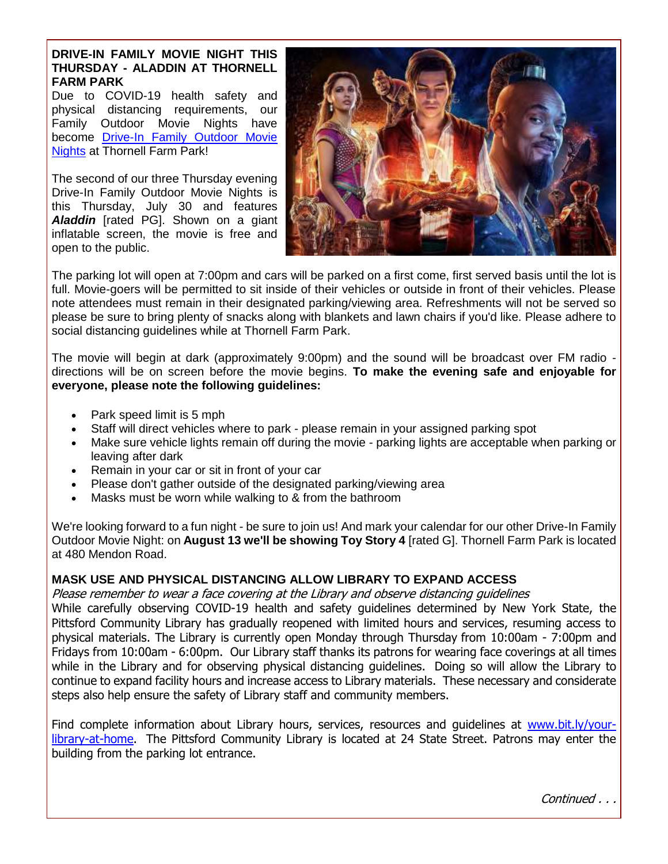#### **DRIVE-IN FAMILY MOVIE NIGHT THIS THURSDAY - ALADDIN AT THORNELL FARM PARK**

Due to COVID-19 health safety and physical distancing requirements, our Family Outdoor Movie Nights have become [Drive-In Family Outdoor Movie](http://r20.rs6.net/tn.jsp?f=001jusKQ5dHf2UEfWJYxtTcY2mL00nnxPCQpNTISczBJpAeG0ouyxIhh8fYtH55VTj0_lyLt0GqK0eJrbswPG1A1Cmq_BdfkjNp2oeSC9mXPkAoUoBQ9M_-KwUeSOM_QHEY-tIfiM-K3ikKyNhM9VTzig_LmFsltoSTZoy3M7vGm2Ng9nFA9VeAk5QfEJ9pEVwVkcH0AhfbNWLj2773N2GVcXkePUnh5R4dOywcPngR78oPlCuSQwjz1B3g8xjQS0t4kI2yP-ybMIeQYlNtFo1apiNL3ZydggEDvco5fQg5-Zd2-exVVDrKHpGtrR7iwzkl&c=pUOxLZTwa6bFMFktCOFGe2PO8W5FZhDIEYWiUqDMNu448DKETvryhg==&ch=6IKs9cJ_BNPS1hMzgva6VH7vz9LVjW5cqPx-X6oqQtXxQS5sG3QhtA==)  [Nights](http://r20.rs6.net/tn.jsp?f=001jusKQ5dHf2UEfWJYxtTcY2mL00nnxPCQpNTISczBJpAeG0ouyxIhh8fYtH55VTj0_lyLt0GqK0eJrbswPG1A1Cmq_BdfkjNp2oeSC9mXPkAoUoBQ9M_-KwUeSOM_QHEY-tIfiM-K3ikKyNhM9VTzig_LmFsltoSTZoy3M7vGm2Ng9nFA9VeAk5QfEJ9pEVwVkcH0AhfbNWLj2773N2GVcXkePUnh5R4dOywcPngR78oPlCuSQwjz1B3g8xjQS0t4kI2yP-ybMIeQYlNtFo1apiNL3ZydggEDvco5fQg5-Zd2-exVVDrKHpGtrR7iwzkl&c=pUOxLZTwa6bFMFktCOFGe2PO8W5FZhDIEYWiUqDMNu448DKETvryhg==&ch=6IKs9cJ_BNPS1hMzgva6VH7vz9LVjW5cqPx-X6oqQtXxQS5sG3QhtA==) at Thornell Farm Park!

The second of our three Thursday evening Drive-In Family Outdoor Movie Nights is this Thursday, July 30 and features *Aladdin* [rated PG]. Shown on a giant inflatable screen, the movie is free and open to the public.



The parking lot will open at 7:00pm and cars will be parked on a first come, first served basis until the lot is full. Movie-goers will be permitted to sit inside of their vehicles or outside in front of their vehicles. Please note attendees must remain in their designated parking/viewing area. Refreshments will not be served so please be sure to bring plenty of snacks along with blankets and lawn chairs if you'd like. Please adhere to social distancing guidelines while at Thornell Farm Park.

The movie will begin at dark (approximately 9:00pm) and the sound will be broadcast over FM radio directions will be on screen before the movie begins. **To make the evening safe and enjoyable for everyone, please note the following guidelines:**

- Park speed limit is 5 mph
- Staff will direct vehicles where to park please remain in your assigned parking spot
- Make sure vehicle lights remain off during the movie parking lights are acceptable when parking or leaving after dark
- Remain in your car or sit in front of your car
- Please don't gather outside of the designated parking/viewing area
- Masks must be worn while walking to & from the bathroom

We're looking forward to a fun night - be sure to join us! And mark your calendar for our other Drive-In Family Outdoor Movie Night: on **August 13 we'll be showing Toy Story 4** [rated G]. Thornell Farm Park is located at 480 Mendon Road.

#### **MASK USE AND PHYSICAL DISTANCING ALLOW LIBRARY TO EXPAND ACCESS**

Please remember to wear a face covering at the Library and observe distancing guidelines

While carefully observing COVID-19 health and safety guidelines determined by New York State, the Pittsford Community Library has gradually reopened with limited hours and services, resuming access to physical materials. The Library is currently open Monday through Thursday from 10:00am - 7:00pm and Fridays from 10:00am - 6:00pm. Our Library staff thanks its patrons for wearing face coverings at all times while in the Library and for observing physical distancing guidelines. Doing so will allow the Library to continue to expand facility hours and increase access to Library materials. These necessary and considerate steps also help ensure the safety of Library staff and community members.

Find complete information about Library hours, services, resources and quidelines at [www.bit.ly/your](http://r20.rs6.net/tn.jsp?f=001jusKQ5dHf2UEfWJYxtTcY2mL00nnxPCQpNTISczBJpAeG0ouyxIhhwfN5pm-64WoEYYNKpO43kDTj-p2LSvA4STlCxappvURIXY0ClILFNZ2WZ0UgHw03K2e8_XeIU4rwfJF_ouhSwE3xgE2-Ai9ANGWgJMWPKSN-3OfcLuycutb6Y7uko5ZmxrcGJ30pe1iTV_7Px9L3CH6S4Gb9RNQWgriz9S-ZIXxTlL_LdQ_tGDaOFkvd9XNkIhIi1TqUMedDKZUMfcMidkJxc0z8AZ1ZlF5aXLdTO1RcmDBgIQ9LInksUx4sTjDOA==&c=pUOxLZTwa6bFMFktCOFGe2PO8W5FZhDIEYWiUqDMNu448DKETvryhg==&ch=6IKs9cJ_BNPS1hMzgva6VH7vz9LVjW5cqPx-X6oqQtXxQS5sG3QhtA==)[library-at-home.](http://r20.rs6.net/tn.jsp?f=001jusKQ5dHf2UEfWJYxtTcY2mL00nnxPCQpNTISczBJpAeG0ouyxIhhwfN5pm-64WoEYYNKpO43kDTj-p2LSvA4STlCxappvURIXY0ClILFNZ2WZ0UgHw03K2e8_XeIU4rwfJF_ouhSwE3xgE2-Ai9ANGWgJMWPKSN-3OfcLuycutb6Y7uko5ZmxrcGJ30pe1iTV_7Px9L3CH6S4Gb9RNQWgriz9S-ZIXxTlL_LdQ_tGDaOFkvd9XNkIhIi1TqUMedDKZUMfcMidkJxc0z8AZ1ZlF5aXLdTO1RcmDBgIQ9LInksUx4sTjDOA==&c=pUOxLZTwa6bFMFktCOFGe2PO8W5FZhDIEYWiUqDMNu448DKETvryhg==&ch=6IKs9cJ_BNPS1hMzgva6VH7vz9LVjW5cqPx-X6oqQtXxQS5sG3QhtA==) The Pittsford Community Library is located at 24 State Street. Patrons may enter the building from the parking lot entrance.

Continued . . .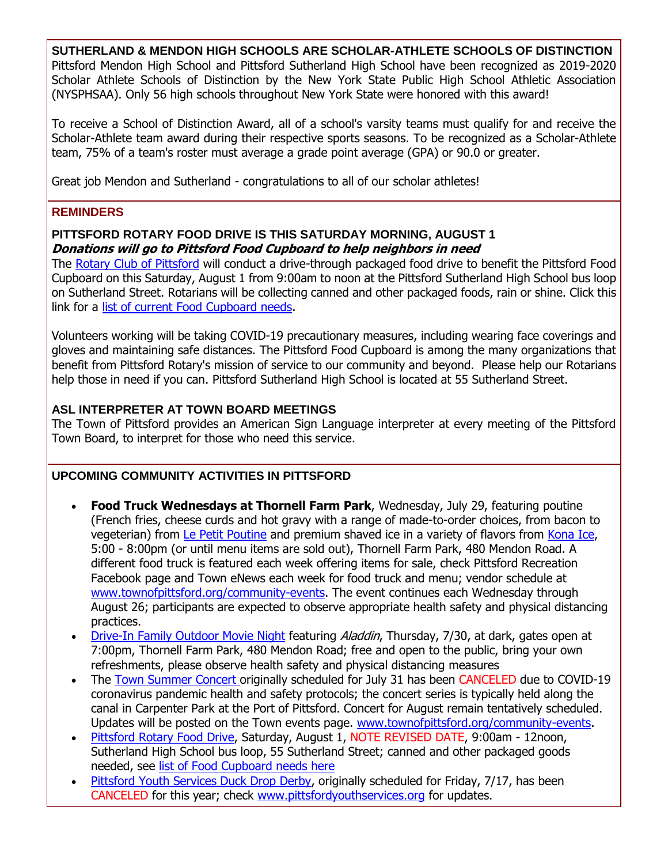**SUTHERLAND & MENDON HIGH SCHOOLS ARE SCHOLAR-ATHLETE SCHOOLS OF DISTINCTION** Pittsford Mendon High School and Pittsford Sutherland High School have been recognized as 2019-2020 Scholar Athlete Schools of Distinction by the New York State Public High School Athletic Association (NYSPHSAA). Only 56 high schools throughout New York State were honored with this award!

To receive a School of Distinction Award, all of a school's varsity teams must qualify for and receive the Scholar-Athlete team award during their respective sports seasons. To be recognized as a Scholar-Athlete team, 75% of a team's roster must average a grade point average (GPA) or 90.0 or greater.

Great job Mendon and Sutherland - congratulations to all of our scholar athletes!

#### **REMINDERS**

#### **PITTSFORD ROTARY FOOD DRIVE IS THIS SATURDAY MORNING, AUGUST 1 Donations will go to Pittsford Food Cupboard to help neighbors in need**

The [Rotary Club of Pittsford](http://r20.rs6.net/tn.jsp?f=001jusKQ5dHf2UEfWJYxtTcY2mL00nnxPCQpNTISczBJpAeG0ouyxIhh76S2JHkB9MCt5equq2-qGHljx4wFwDRZBHUc75QamFeuMpKibulQLcfaO9-LBh7WWgczKHMD3d8kzcL13pnjXMQtniPYE0xCr82JvTEAOjnQL_W3DtCQQzuzZWlTnKy67FeAdUq-ZJ-u1zSx4DyDu8iTmJdgwPZqux0D182AL3VHY0o7ZBu62txBzvmZ0s87DPS4njb10yq8nIwJ8YuIdxFz8GAWlcm4JjkQHH0m3RFEbuarklxZRYOiqdfjBHvGw==&c=pUOxLZTwa6bFMFktCOFGe2PO8W5FZhDIEYWiUqDMNu448DKETvryhg==&ch=6IKs9cJ_BNPS1hMzgva6VH7vz9LVjW5cqPx-X6oqQtXxQS5sG3QhtA==) will conduct a drive-through packaged food drive to benefit the Pittsford Food Cupboard on this Saturday, August 1 from 9:00am to noon at the Pittsford Sutherland High School bus loop on Sutherland Street. Rotarians will be collecting canned and other packaged foods, rain or shine. Click this link for a [list of current Food Cupboard needs.](http://r20.rs6.net/tn.jsp?f=001jusKQ5dHf2UEfWJYxtTcY2mL00nnxPCQpNTISczBJpAeG0ouyxIhh76S2JHkB9MC3DqPaKgx5Igc5gwezKmkGSHLYKWZyLkPACjE2O9p_hQ_dGOwSxy0P9zWaIsa61FgS_A0kqS1PPM8w1_qIEZP4SofcHSga7HnaGH4iNvw7IepFYLDeksRp6s9G4WBzEkV5d5VdMDZmCMHhQEBp6OUrS0UHm-wc7pEOFiflCMiNR96ScTjHhygLa14JCcMqoMqGLlMHCJ73wPLmQW4BZKwlz4n5cK2o_b8eXPhQlQkrkLBXQm0u66OjdLyJdGgENK3cRYrG9GjRY8=&c=pUOxLZTwa6bFMFktCOFGe2PO8W5FZhDIEYWiUqDMNu448DKETvryhg==&ch=6IKs9cJ_BNPS1hMzgva6VH7vz9LVjW5cqPx-X6oqQtXxQS5sG3QhtA==)

Volunteers working will be taking COVID-19 precautionary measures, including wearing face coverings and gloves and maintaining safe distances. The Pittsford Food Cupboard is among the many organizations that benefit from Pittsford Rotary's mission of service to our community and beyond. Please help our Rotarians help those in need if you can. Pittsford Sutherland High School is located at 55 Sutherland Street.

#### **ASL INTERPRETER AT TOWN BOARD MEETINGS**

The Town of Pittsford provides an American Sign Language interpreter at every meeting of the Pittsford Town Board, to interpret for those who need this service.

#### **UPCOMING COMMUNITY ACTIVITIES IN PITTSFORD**

- **Food Truck Wednesdays at Thornell Farm Park**, Wednesday, July 29, featuring poutine (French fries, cheese curds and hot gravy with a range of made-to-order choices, from bacon to vegeterian) from [Le Petit Poutine](http://r20.rs6.net/tn.jsp?f=001jusKQ5dHf2UEfWJYxtTcY2mL00nnxPCQpNTISczBJpAeG0ouyxIhh6JSkG3mguUFGhPPjMMwaT7flTMq1Xcysg5j0BDdSVlVz49oLI035JS37i3AglgcV21-nH_JK2U4owwbB2Jop7XjP-tYdkk7oao4QhkdZ0LdXU1wKrAxR9xn4gFY1HY16RMb5_d2GSMlWzO3ToKJXGNfJItIuMcv4QeAmDabd0j9l1E2MGLrcgte5geBmbQBcfvyK8fAMunGvqifaDLpmQbmdOsEYw4sATbJo2WNUwCu3YqhhszKZZA=&c=pUOxLZTwa6bFMFktCOFGe2PO8W5FZhDIEYWiUqDMNu448DKETvryhg==&ch=6IKs9cJ_BNPS1hMzgva6VH7vz9LVjW5cqPx-X6oqQtXxQS5sG3QhtA==) and premium shaved ice in a variety of flavors from [Kona Ice,](http://r20.rs6.net/tn.jsp?f=001jusKQ5dHf2UEfWJYxtTcY2mL00nnxPCQpNTISczBJpAeG0ouyxIhh6JSkG3mguUFPwJHSh4izL806Pi7EpOFRnU6uEY0SdJ1viLhMZHcMOYmDqBNm95v6Ux8V38asEw-ukpJbuikMMfNIErCyyzbz_bVGwZBAONFz5rvkcUJNd-DJ9bqBryk-9o14tBXM7xHRFf-dddF2B57BcmVU-P1-YkuGY9UOtFeZCIFBXa81wrsKT9FtUdEEtybX__YVA8pTjRapabUq3rapqU4iQDQBQddVl3vr5gr&c=pUOxLZTwa6bFMFktCOFGe2PO8W5FZhDIEYWiUqDMNu448DKETvryhg==&ch=6IKs9cJ_BNPS1hMzgva6VH7vz9LVjW5cqPx-X6oqQtXxQS5sG3QhtA==) 5:00 - 8:00pm (or until menu items are sold out), Thornell Farm Park, 480 Mendon Road. A different food truck is featured each week offering items for sale, check Pittsford Recreation Facebook page and Town eNews each week for food truck and menu; vendor schedule at [www.townofpittsford.org/community-events.](http://r20.rs6.net/tn.jsp?f=001jusKQ5dHf2UEfWJYxtTcY2mL00nnxPCQpNTISczBJpAeG0ouyxIhhzZQt5qtTOtHzkkfWsQKU0A1ch3eYz02Jf1wSF3C9iIQo1V87pNoT8xElFp6sRX1GK8cSR99C2mCXlYkUytS0btgOJW7drhW3lHjJoErT7kvINc7IIGpVTjDYz8XseTSspHpTHxDQ-sbtQF-Zku7qExbke7HAMHq4y6tmo795z0nR0HBC93cpc5V_FaDPf6PmntgQOCLX4vgjuPt1yk4wNEbHUgJQ8JmXpV9Eh9fJ2_xZ-KlhssBRSS9QKkljZ6CtwjNF40Jr718&c=pUOxLZTwa6bFMFktCOFGe2PO8W5FZhDIEYWiUqDMNu448DKETvryhg==&ch=6IKs9cJ_BNPS1hMzgva6VH7vz9LVjW5cqPx-X6oqQtXxQS5sG3QhtA==) The event continues each Wednesday through August 26; participants are expected to observe appropriate health safety and physical distancing practices.
- [Drive-In Family Outdoor Movie Night](http://r20.rs6.net/tn.jsp?f=001jusKQ5dHf2UEfWJYxtTcY2mL00nnxPCQpNTISczBJpAeG0ouyxIhh8XzSTwiKJiWRZW0uq-euwSxm5Kxj9mlUlox_M3JskGg4ZEiEjJflA2u8caWtOiLlybdRTY-U0hX0QW7JAEuFEABPL4ckza7k2cCKvmePquffg72G7yKj45g-UgjcpeiP7VgTALeL8PY1A1cZewAIMe5pBUuqvukDWK5CWxKsN6KVtTmKWI0lRnAi-CYuY7qgdFZttKgbiW2u3mWDCrJEgb-te78LXlDCWV1YynMFA3gXU9mkgMwYnxc8pp38tizAtSJHOiaS7mpnt3HcfbVmK4=&c=pUOxLZTwa6bFMFktCOFGe2PO8W5FZhDIEYWiUqDMNu448DKETvryhg==&ch=6IKs9cJ_BNPS1hMzgva6VH7vz9LVjW5cqPx-X6oqQtXxQS5sG3QhtA==) featuring Aladdin, Thursday, 7/30, at dark, gates open at 7:00pm, Thornell Farm Park, 480 Mendon Road; free and open to the public, bring your own refreshments, please observe health safety and physical distancing measures
- The [Town Summer Concert o](http://r20.rs6.net/tn.jsp?f=001jusKQ5dHf2UEfWJYxtTcY2mL00nnxPCQpNTISczBJpAeG0ouyxIhh1-6iYY7quW-vrLUPvEdN9wRQTCExLE_F603osalEMeyiX5myVHaLqbm_aYAoNxU_rMTfMTmjJiZ2-qxLZ_hTiDh2a2ZP27Z34MCBdtwyFl-COZP6f2uHqTCaPVR-gnlKHvFIxGouhqeo7tucHGr_X0yIYMiYVHZSvU8xDa27mRm7Q9RnsdsQgQoVQ17s82hTWof6i9SCaSLIhQ0Kft5iaWK-SKTE9lSk6fJbhaPjfBc9esqZDqUNN3tOEWk7Undx4KBBEPAFhg-&c=pUOxLZTwa6bFMFktCOFGe2PO8W5FZhDIEYWiUqDMNu448DKETvryhg==&ch=6IKs9cJ_BNPS1hMzgva6VH7vz9LVjW5cqPx-X6oqQtXxQS5sG3QhtA==)riginally scheduled for July 31 has been CANCELED due to COVID-19 coronavirus pandemic health and safety protocols; the concert series is typically held along the canal in Carpenter Park at the Port of Pittsford. Concert for August remain tentatively scheduled. Updates will be posted on the Town events page. [www.townofpittsford.org/community-events.](http://r20.rs6.net/tn.jsp?f=001jusKQ5dHf2UEfWJYxtTcY2mL00nnxPCQpNTISczBJpAeG0ouyxIhhzZQt5qtTOtHzkkfWsQKU0A1ch3eYz02Jf1wSF3C9iIQo1V87pNoT8xElFp6sRX1GK8cSR99C2mCXlYkUytS0btgOJW7drhW3lHjJoErT7kvINc7IIGpVTjDYz8XseTSspHpTHxDQ-sbtQF-Zku7qExbke7HAMHq4y6tmo795z0nR0HBC93cpc5V_FaDPf6PmntgQOCLX4vgjuPt1yk4wNEbHUgJQ8JmXpV9Eh9fJ2_xZ-KlhssBRSS9QKkljZ6CtwjNF40Jr718&c=pUOxLZTwa6bFMFktCOFGe2PO8W5FZhDIEYWiUqDMNu448DKETvryhg==&ch=6IKs9cJ_BNPS1hMzgva6VH7vz9LVjW5cqPx-X6oqQtXxQS5sG3QhtA==)
- [Pittsford Rotary Food Drive,](http://r20.rs6.net/tn.jsp?f=001jusKQ5dHf2UEfWJYxtTcY2mL00nnxPCQpNTISczBJpAeG0ouyxIhhyaBtIgliL3P4s8qtX8P9hXhJhQ8KUaB1tV7rRf8sz808Bd5UA8Ylaqf75y0Tz-JfNPcbpydtYFCfYbiMTMP6fg6eCgeXfbp6zVt5g3tY4vjFsInQBty4fOCZHG5_qUhzTHonQOMgKabUnlWH6fZVhWGuuuTd8Lp5wm0dZ276GtIuPEZ-TqDfXkp1wMvLP2sdxTFyubx9jeGSDQMNlY7hUSsWGLu5fegg-dcIR88FnKlD6imJTKtuF4=&c=pUOxLZTwa6bFMFktCOFGe2PO8W5FZhDIEYWiUqDMNu448DKETvryhg==&ch=6IKs9cJ_BNPS1hMzgva6VH7vz9LVjW5cqPx-X6oqQtXxQS5sG3QhtA==) Saturday, August 1, NOTE REVISED DATE, 9:00am 12noon, Sutherland High School bus loop, 55 Sutherland Street; canned and other packaged goods needed, see [list of Food Cupboard needs here](http://r20.rs6.net/tn.jsp?f=001jusKQ5dHf2UEfWJYxtTcY2mL00nnxPCQpNTISczBJpAeG0ouyxIhh76S2JHkB9MC3DqPaKgx5Igc5gwezKmkGSHLYKWZyLkPACjE2O9p_hQ_dGOwSxy0P9zWaIsa61FgS_A0kqS1PPM8w1_qIEZP4SofcHSga7HnaGH4iNvw7IepFYLDeksRp6s9G4WBzEkV5d5VdMDZmCMHhQEBp6OUrS0UHm-wc7pEOFiflCMiNR96ScTjHhygLa14JCcMqoMqGLlMHCJ73wPLmQW4BZKwlz4n5cK2o_b8eXPhQlQkrkLBXQm0u66OjdLyJdGgENK3cRYrG9GjRY8=&c=pUOxLZTwa6bFMFktCOFGe2PO8W5FZhDIEYWiUqDMNu448DKETvryhg==&ch=6IKs9cJ_BNPS1hMzgva6VH7vz9LVjW5cqPx-X6oqQtXxQS5sG3QhtA==)
- [Pittsford Youth Services Duck Drop Derby,](http://r20.rs6.net/tn.jsp?f=001jusKQ5dHf2UEfWJYxtTcY2mL00nnxPCQpNTISczBJpAeG0ouyxIhh7lfbPh-rJUDVD2DZE9XGXhmpNRMsngjR50bye5TnsYNQa3CIg7nuB_i5Qrtif5U4oh651a1jmrWj8fQ0NPYKjCAJjonW985eHX0m0XrN2K6mI7xm6t7WU2nVTMtq6HWJdoEigbZeaCsPJJg0OkxIsxQ3NJLPrVEN5PQ1SVIiSWYo3werbZmmfFiZR7Fc2NkQKkBZz0k_aHj7Z3EnkAwwGusmP1OYwn_j8lc4x0xmkkLxTMFMQo01D4Ady96oxGh3Q==&c=pUOxLZTwa6bFMFktCOFGe2PO8W5FZhDIEYWiUqDMNu448DKETvryhg==&ch=6IKs9cJ_BNPS1hMzgva6VH7vz9LVjW5cqPx-X6oqQtXxQS5sG3QhtA==) originally scheduled for Friday, 7/17, has been CANCELED for this year; check [www.pittsfordyouthservices.org](http://r20.rs6.net/tn.jsp?f=001jusKQ5dHf2UEfWJYxtTcY2mL00nnxPCQpNTISczBJpAeG0ouyxIhh7lfbPh-rJUDVD2DZE9XGXhmpNRMsngjR50bye5TnsYNQa3CIg7nuB_i5Qrtif5U4oh651a1jmrWj8fQ0NPYKjCAJjonW985eHX0m0XrN2K6mI7xm6t7WU2nVTMtq6HWJdoEigbZeaCsPJJg0OkxIsxQ3NJLPrVEN5PQ1SVIiSWYo3werbZmmfFiZR7Fc2NkQKkBZz0k_aHj7Z3EnkAwwGusmP1OYwn_j8lc4x0xmkkLxTMFMQo01D4Ady96oxGh3Q==&c=pUOxLZTwa6bFMFktCOFGe2PO8W5FZhDIEYWiUqDMNu448DKETvryhg==&ch=6IKs9cJ_BNPS1hMzgva6VH7vz9LVjW5cqPx-X6oqQtXxQS5sG3QhtA==) for updates.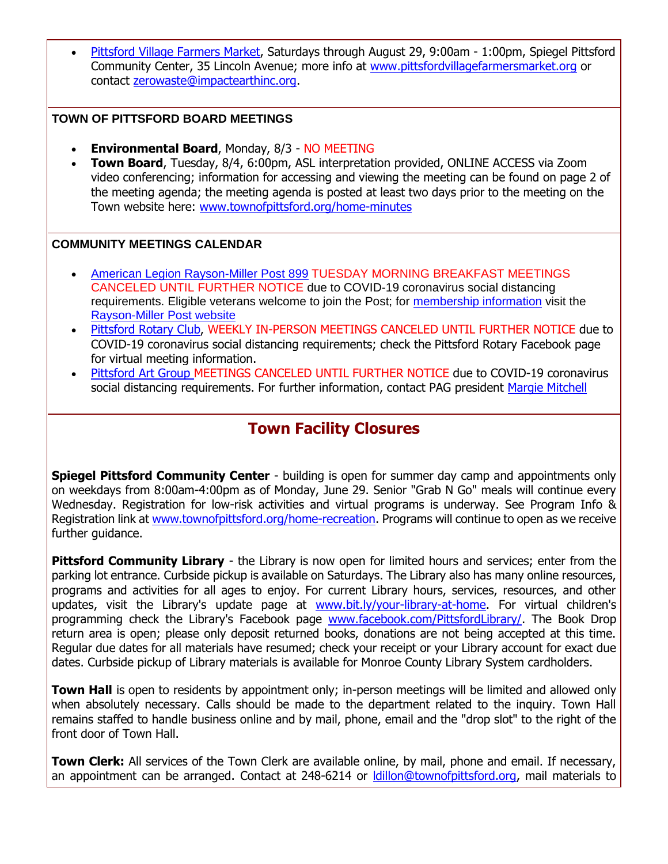[Pittsford Village Farmers Market,](http://r20.rs6.net/tn.jsp?f=001jusKQ5dHf2UEfWJYxtTcY2mL00nnxPCQpNTISczBJpAeG0ouyxIhh0kaiCVwNm7Ql9WXp7yYSvETAxNf-Mq-gqrJZRpS-GCNr9b_yuN7dRN6xRp7FDO95IfIUqLrqPGIZsnCC5LAAPQ998OAEA3kAdUrJayQEr2lGsMBzZmXseVYQKGJKX7NjV2hU5bX09EE7joA3KbbBJihxNGMgjO1ZP2J5pqn-lKYDY9ylXXnxbEy3MYG17GsMspioOooKQDUHmkN8x7Axz0UqPCttW2F5YtTdihRafgbw018rXxwAIMsqaCxyd4nJemRdBXpoTlc&c=pUOxLZTwa6bFMFktCOFGe2PO8W5FZhDIEYWiUqDMNu448DKETvryhg==&ch=6IKs9cJ_BNPS1hMzgva6VH7vz9LVjW5cqPx-X6oqQtXxQS5sG3QhtA==) Saturdays through August 29, 9:00am - 1:00pm, Spiegel Pittsford Community Center, 35 Lincoln Avenue; more info at [www.pittsfordvillagefarmersmarket.org](http://r20.rs6.net/tn.jsp?f=001jusKQ5dHf2UEfWJYxtTcY2mL00nnxPCQpNTISczBJpAeG0ouyxIhh0kaiCVwNm7Ql9WXp7yYSvETAxNf-Mq-gqrJZRpS-GCNr9b_yuN7dRN6xRp7FDO95IfIUqLrqPGIZsnCC5LAAPQ998OAEA3kAdUrJayQEr2lGsMBzZmXseVYQKGJKX7NjV2hU5bX09EE7joA3KbbBJihxNGMgjO1ZP2J5pqn-lKYDY9ylXXnxbEy3MYG17GsMspioOooKQDUHmkN8x7Axz0UqPCttW2F5YtTdihRafgbw018rXxwAIMsqaCxyd4nJemRdBXpoTlc&c=pUOxLZTwa6bFMFktCOFGe2PO8W5FZhDIEYWiUqDMNu448DKETvryhg==&ch=6IKs9cJ_BNPS1hMzgva6VH7vz9LVjW5cqPx-X6oqQtXxQS5sG3QhtA==) or contact [zerowaste@impactearthinc.org.](mailto:zerowaste@impactearthinc.org)

#### **TOWN OF PITTSFORD BOARD MEETINGS**

- **Environmental Board**, Monday, 8/3 NO MEETING
- **Town Board**, Tuesday, 8/4, 6:00pm, ASL interpretation provided, ONLINE ACCESS via Zoom video conferencing; information for accessing and viewing the meeting can be found on page 2 of the meeting agenda; the meeting agenda is posted at least two days prior to the meeting on the Town website here: [www.townofpittsford.org/home-minutes](http://r20.rs6.net/tn.jsp?f=001jusKQ5dHf2UEfWJYxtTcY2mL00nnxPCQpNTISczBJpAeG0ouyxIhhyaBtIgliL3PcZlq6T6e8i1SJo2sjjV33E9Q0K9Z9p7XkmkYEr5HoQzo7u5BhB5SLuiqxmmEKMuEiugAAD6zW-dn6wHwCfTNBY3YvO3TcYNzh9TiYLyP829ewrUE--eLlIzUx5KjCpZe0t92RopH-thflajYnWpzkeRHnTDpeKzFC_C36ptvydLjUo0cCq5U6J2_JLmLV482-tqILc5A81c7H_L-CFIX1DQlptH2Ojv7NjvZtvyw9oaNA8_SdERZag==&c=pUOxLZTwa6bFMFktCOFGe2PO8W5FZhDIEYWiUqDMNu448DKETvryhg==&ch=6IKs9cJ_BNPS1hMzgva6VH7vz9LVjW5cqPx-X6oqQtXxQS5sG3QhtA==)

#### **COMMUNITY MEETINGS CALENDAR**

- [American Legion Rayson-Miller Post 899](http://r20.rs6.net/tn.jsp?f=001jusKQ5dHf2UEfWJYxtTcY2mL00nnxPCQpNTISczBJpAeG0ouyxIhh2yKHtehEaCC-0P6cMnHi2QNxKIJmOlo8AamMwhTb7-ircuHHAPABTDIMya1PQQ8GGnz_PRI_9lHySD8TcEOVc5hs5nVs3Evg-U3fHGmSG0rWZbONOjzM_Aw1hIUXs2Pf5s4usjz5D3kqfwDxV7X_9PyuMBa9pCSYUHhtd8yR2Wz2ioQj3iRjtUHULNfNm1SvaOFxPiZH6-ysq-q5HzyWb7iDghcCFcFbbg5_LM2GhfOuz2g9WCGkVrZa5zq0Y3RZQ==&c=pUOxLZTwa6bFMFktCOFGe2PO8W5FZhDIEYWiUqDMNu448DKETvryhg==&ch=6IKs9cJ_BNPS1hMzgva6VH7vz9LVjW5cqPx-X6oqQtXxQS5sG3QhtA==) TUESDAY MORNING BREAKFAST MEETINGS CANCELED UNTIL FURTHER NOTICE due to COVID-19 coronavirus social distancing requirements. Eligible veterans welcome to join the Post; for [membership information](http://r20.rs6.net/tn.jsp?f=001jusKQ5dHf2UEfWJYxtTcY2mL00nnxPCQpNTISczBJpAeG0ouyxIhh2yKHtehEaCCbOsJhtPh184j-SUTLa7oFzY-fVee6IL8uLoxnC37HKOJgYlQVabmHO30f8oIhv349djHiePMUjlOB1oIKtxteJHHbPjvtCplpVjNwL4VIwIuBHo1Mz_qVtinkWkq5sOuBJ6lVHaljtwbrvIchYokFfevIlq4BRUKanceT6TNsAt9WU0RKWK_SzrVCToMkdqBQLFm0Jv0eTmpi6HGdjXXn5WEfY_zqM4UDQufMKHpw94pjv8VknQZ1HMe52Oi3wJMV9TPJo5gqTc=&c=pUOxLZTwa6bFMFktCOFGe2PO8W5FZhDIEYWiUqDMNu448DKETvryhg==&ch=6IKs9cJ_BNPS1hMzgva6VH7vz9LVjW5cqPx-X6oqQtXxQS5sG3QhtA==) visit the [Rayson-Miller Post website](http://r20.rs6.net/tn.jsp?f=001jusKQ5dHf2UEfWJYxtTcY2mL00nnxPCQpNTISczBJpAeG0ouyxIhh142rCVHyonnKjB0r8FCWAnCgIgr7dFFvsOrGcLqz5OhEBXxNIZSJYmYr2yb3dULUvFsmH-6ZdDbN7M1K6dG9DVqikUM9vlgw1c71t_U0_s5eIWWHRTLIXSVqBIbY8j5rwcFF8aWRFZug2-YVEcnoDoHLuRZjHrUEYDHMMYiBHO5I9PAyhoY1c3Mj03aJFJcnI8Zsdgxv64wg0im9gfm30fY0KjnULgEO_GSdFyTRTvonmTAwIEcX5sWwJbU2Kr5zMTMqBOyJTvKoGySGHqymyXAeZnrTCH1Z0ITxnMELucdym9WCBhLjBzx3uib97K5Ma9vzRpAsQC9QW6P1V39XKI=&c=pUOxLZTwa6bFMFktCOFGe2PO8W5FZhDIEYWiUqDMNu448DKETvryhg==&ch=6IKs9cJ_BNPS1hMzgva6VH7vz9LVjW5cqPx-X6oqQtXxQS5sG3QhtA==)
- [Pittsford Rotary Club,](http://r20.rs6.net/tn.jsp?f=001jusKQ5dHf2UEfWJYxtTcY2mL00nnxPCQpNTISczBJpAeG0ouyxIhhyaBtIgliL3P4s8qtX8P9hXhJhQ8KUaB1tV7rRf8sz808Bd5UA8Ylaqf75y0Tz-JfNPcbpydtYFCfYbiMTMP6fg6eCgeXfbp6zVt5g3tY4vjFsInQBty4fOCZHG5_qUhzTHonQOMgKabUnlWH6fZVhWGuuuTd8Lp5wm0dZ276GtIuPEZ-TqDfXkp1wMvLP2sdxTFyubx9jeGSDQMNlY7hUSsWGLu5fegg-dcIR88FnKlD6imJTKtuF4=&c=pUOxLZTwa6bFMFktCOFGe2PO8W5FZhDIEYWiUqDMNu448DKETvryhg==&ch=6IKs9cJ_BNPS1hMzgva6VH7vz9LVjW5cqPx-X6oqQtXxQS5sG3QhtA==) WEEKLY IN-PERSON MEETINGS CANCELED UNTIL FURTHER NOTICE due to COVID-19 coronavirus social distancing requirements; check the Pittsford Rotary Facebook page for virtual meeting information.
- [Pittsford Art Group M](https://pittsfordartgroup.wordpress.com/?utm_source=eNews+7-29-20&utm_campaign=eNews+07-29-20&utm_medium=email)EETINGS CANCELED UNTIL FURTHER NOTICE due to COVID-19 coronavirus social distancing requirements. For further information, contact PAG president [Margie Mitchell](mailto:mhsmitchell@gmail.com?subject=Pittsford%20Art%20Group%20Meetings%20and%20Membership)

### **Town Facility Closures**

**Spiegel Pittsford Community Center** - building is open for summer day camp and appointments only on weekdays from 8:00am-4:00pm as of Monday, June 29. Senior "Grab N Go" meals will continue every Wednesday. Registration for low-risk activities and virtual programs is underway. See Program Info & Registration link at [www.townofpittsford.org/home-recreation.](http://r20.rs6.net/tn.jsp?f=001jusKQ5dHf2UEfWJYxtTcY2mL00nnxPCQpNTISczBJpAeG0ouyxIhh21mdn2_VjEhwCqNJig6f2aS1SYy2EGzbsTCiZBXB8F2LJRBT4onyASEjBdnUerIgRcvFDVwhOqOdQKIVqdRUUMCpt9CzQebQmfIQdO-iEuUEr1_9j6RiLIu_Pf0Tu07ai3CyvSZkikihsjvdHT2gz9fTL9Y_x03WK4r9wJb9I7XIyim_3xHA4GDE_sd_3lXUw_2wXEqzC4frhqgXx4xpW0CL_d-VQbCmlw8VROW9Tsb7p3cxIhxB20tOCnWfmHdaohr6KfXERcz&c=pUOxLZTwa6bFMFktCOFGe2PO8W5FZhDIEYWiUqDMNu448DKETvryhg==&ch=6IKs9cJ_BNPS1hMzgva6VH7vz9LVjW5cqPx-X6oqQtXxQS5sG3QhtA==) Programs will continue to open as we receive further guidance.

**Pittsford Community Library** - the Library is now open for limited hours and services; enter from the parking lot entrance. Curbside pickup is available on Saturdays. The Library also has many online resources, programs and activities for all ages to enjoy. For current Library hours, services, resources, and other updates, visit the Library's update page at [www.bit.ly/your-library-at-home.](http://r20.rs6.net/tn.jsp?f=001jusKQ5dHf2UEfWJYxtTcY2mL00nnxPCQpNTISczBJpAeG0ouyxIhhwfN5pm-64WoEYYNKpO43kDTj-p2LSvA4STlCxappvURIXY0ClILFNZ2WZ0UgHw03K2e8_XeIU4rwfJF_ouhSwE3xgE2-Ai9ANGWgJMWPKSN-3OfcLuycutb6Y7uko5ZmxrcGJ30pe1iTV_7Px9L3CH6S4Gb9RNQWgriz9S-ZIXxTlL_LdQ_tGDaOFkvd9XNkIhIi1TqUMedDKZUMfcMidkJxc0z8AZ1ZlF5aXLdTO1RcmDBgIQ9LInksUx4sTjDOA==&c=pUOxLZTwa6bFMFktCOFGe2PO8W5FZhDIEYWiUqDMNu448DKETvryhg==&ch=6IKs9cJ_BNPS1hMzgva6VH7vz9LVjW5cqPx-X6oqQtXxQS5sG3QhtA==) For virtual children's programming check the Library's Facebook page [www.facebook.com/PittsfordLibrary/.](http://r20.rs6.net/tn.jsp?f=001jusKQ5dHf2UEfWJYxtTcY2mL00nnxPCQpNTISczBJpAeG0ouyxIhh2s1lt2vrwhUt-5Mk2W2RG1Zh36G9yA2qP9Nruv5sb6JC8w6366D1fQ5gWQa65RWqk7SOedQCixZ7DMXXvF66NtgSQ-22smJOtjQW_qmMkjNudzG1JC021OxskRGstvcoiAbdQq2VbjQWIjwEMIeIfI=&c=pUOxLZTwa6bFMFktCOFGe2PO8W5FZhDIEYWiUqDMNu448DKETvryhg==&ch=6IKs9cJ_BNPS1hMzgva6VH7vz9LVjW5cqPx-X6oqQtXxQS5sG3QhtA==) The Book Drop return area is open; please only deposit returned books, donations are not being accepted at this time. Regular due dates for all materials have resumed; check your receipt or your Library account for exact due dates. Curbside pickup of Library materials is available for Monroe County Library System cardholders.

**Town Hall** is open to residents by appointment only; in-person meetings will be limited and allowed only when absolutely necessary. Calls should be made to the department related to the inquiry. Town Hall remains staffed to handle business online and by mail, phone, email and the "drop slot" to the right of the front door of Town Hall.

**Town Clerk:** All services of the Town Clerk are available online, by mail, phone and email. If necessary, an appointment can be arranged. Contact at 248-6214 or Idillon@townofpittsford.org, mail materials to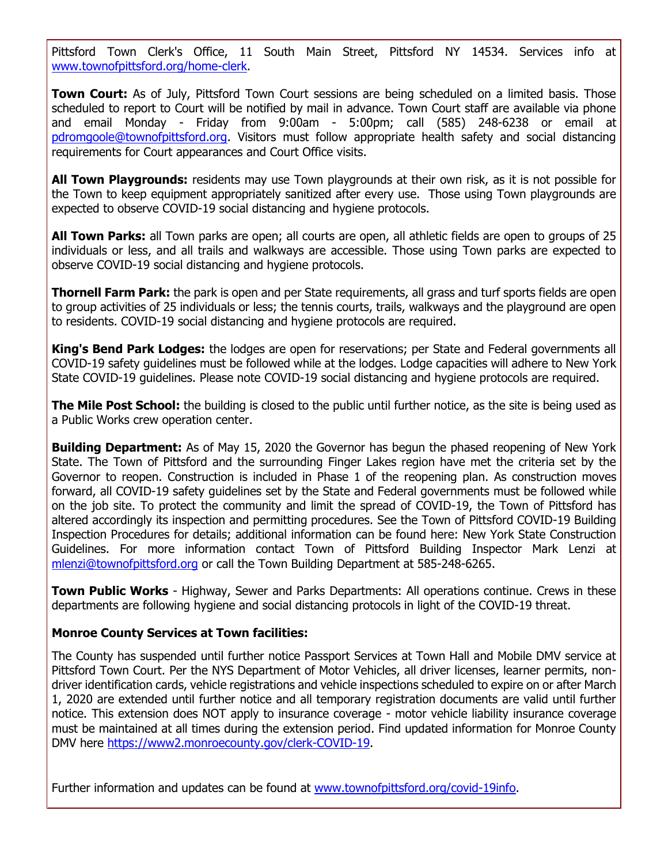Pittsford Town Clerk's Office, 11 South Main Street, Pittsford NY 14534. Services info at [www.townofpittsford.org/home-clerk.](http://r20.rs6.net/tn.jsp?f=001jusKQ5dHf2UEfWJYxtTcY2mL00nnxPCQpNTISczBJpAeG0ouyxIhh1ofVeK7mX5NP7FB0X3QGEfM2E4ALSdfho03ajp6HE0cHYg4XHOumR9uWOQIygjedmoBjx4Ga0_KYBtxi78OEp7yQqwMl0bB7DxAcVLAUZ8RjkY1PMnDlfVKgvKoJHWXwTBeLA2t9pJVpa6BWyTLdnwP4eSqpI9f-O8UTgYjOZk_HeM47Q-mJSU2Ob47qfc0uuF-CuXVLverZfrs2CCeif9Zz98siASKTZr737slpsgVxUijOM_5rd4zJBYCJp5klg==&c=pUOxLZTwa6bFMFktCOFGe2PO8W5FZhDIEYWiUqDMNu448DKETvryhg==&ch=6IKs9cJ_BNPS1hMzgva6VH7vz9LVjW5cqPx-X6oqQtXxQS5sG3QhtA==)

**Town Court:** As of July, Pittsford Town Court sessions are being scheduled on a limited basis. Those scheduled to report to Court will be notified by mail in advance. Town Court staff are available via phone and email Monday - Friday from 9:00am - 5:00pm; call (585) 248-6238 or email at [pdromgoole@townofpittsford.org.](mailto:pdromgoole@townofpittsford.org) Visitors must follow appropriate health safety and social distancing requirements for Court appearances and Court Office visits.

**All Town Playgrounds:** residents may use Town playgrounds at their own risk, as it is not possible for the Town to keep equipment appropriately sanitized after every use. Those using Town playgrounds are expected to observe COVID-19 social distancing and hygiene protocols.

**All Town Parks:** all Town parks are open; all courts are open, all athletic fields are open to groups of 25 individuals or less, and all trails and walkways are accessible. Those using Town parks are expected to observe COVID-19 social distancing and hygiene protocols.

**Thornell Farm Park:** the park is open and per State requirements, all grass and turf sports fields are open to group activities of 25 individuals or less; the tennis courts, trails, walkways and the playground are open to residents. COVID-19 social distancing and hygiene protocols are required.

**King's Bend Park Lodges:** the lodges are open for reservations; per State and Federal governments all COVID-19 safety guidelines must be followed while at the lodges. Lodge capacities will adhere to New York State COVID-19 guidelines. Please note COVID-19 social distancing and hygiene protocols are required.

**The Mile Post School:** the building is closed to the public until further notice, as the site is being used as a Public Works crew operation center.

**Building Department:** As of May 15, 2020 the Governor has begun the phased reopening of New York State. The Town of Pittsford and the surrounding Finger Lakes region have met the criteria set by the Governor to reopen. Construction is included in Phase 1 of the reopening plan. As construction moves forward, all COVID-19 safety guidelines set by the State and Federal governments must be followed while on the job site. To protect the community and limit the spread of COVID-19, the Town of Pittsford has altered accordingly its inspection and permitting procedures. See the Town of Pittsford COVID-19 Building Inspection Procedures for details; additional information can be found here: New York State Construction Guidelines. For more information contact Town of Pittsford Building Inspector Mark Lenzi at [mlenzi@townofpittsford.org](mailto:mlenzi@townofpittsford.org?subject=COVID-19%20Construciton%20Information) or call the Town Building Department at 585-248-6265.

**Town Public Works** - Highway, Sewer and Parks Departments: All operations continue. Crews in these departments are following hygiene and social distancing protocols in light of the COVID-19 threat.

#### **Monroe County Services at Town facilities:**

The County has suspended until further notice Passport Services at Town Hall and Mobile DMV service at Pittsford Town Court. Per the NYS Department of Motor Vehicles, all driver licenses, learner permits, nondriver identification cards, vehicle registrations and vehicle inspections scheduled to expire on or after March 1, 2020 are extended until further notice and all temporary registration documents are valid until further notice. This extension does NOT apply to insurance coverage - motor vehicle liability insurance coverage must be maintained at all times during the extension period. Find updated information for Monroe County DMV here [https://www2.monroecounty.gov/clerk-COVID-19.](http://r20.rs6.net/tn.jsp?f=001jusKQ5dHf2UEfWJYxtTcY2mL00nnxPCQpNTISczBJpAeG0ouyxIhh715fy7UchjQhCEj9s93zLVLAZl71WZCi65mvY0IdFj6kEofklLTsqOvW8b0A0dSl9ENbuRWKY80HEzEkd7xSVq2aUS7fa-ms3BkB575o57IFSqFqmsG64FZFe2C3pSmrMODq-tG7TJATvHTTWa2-NkryZFf5C34BQQurxWd4d8FU7vKcF9L-aTKjUzxDyxoq9xpx5YgBTowqeO25wwWER1WCfvKw_bROhjl_2h1XXIswF8IcEqaHT2DjbI0wc6fTHcxXN9HtjIT&c=pUOxLZTwa6bFMFktCOFGe2PO8W5FZhDIEYWiUqDMNu448DKETvryhg==&ch=6IKs9cJ_BNPS1hMzgva6VH7vz9LVjW5cqPx-X6oqQtXxQS5sG3QhtA==)

Further information and updates can be found at [www.townofpittsford.org/covid-19info.](http://r20.rs6.net/tn.jsp?f=001jusKQ5dHf2UEfWJYxtTcY2mL00nnxPCQpNTISczBJpAeG0ouyxIhh7sKZlmo1050dx5epERxuCLb0uPEZppMmVT1uf6C5UNFYjKX2GB3iDido4BHi6lddgFWXXyDXlk4B_y4xGCXev1-HDGHMlAjCCUTa8iME9a559tIcZArZkHXlnMs6EvrGhJDNE3S4NJ9OtkLew5qCpim6CjdmRtx9n06bYmsQhZzs3vGLyf9mzpWHgu3SWD8WiOSXvgRK6e8THlDQrdOtnh56Y8FURSNm29glr_SyWHIett9zjkMDdcKFL0AqOlbog==&c=pUOxLZTwa6bFMFktCOFGe2PO8W5FZhDIEYWiUqDMNu448DKETvryhg==&ch=6IKs9cJ_BNPS1hMzgva6VH7vz9LVjW5cqPx-X6oqQtXxQS5sG3QhtA==)